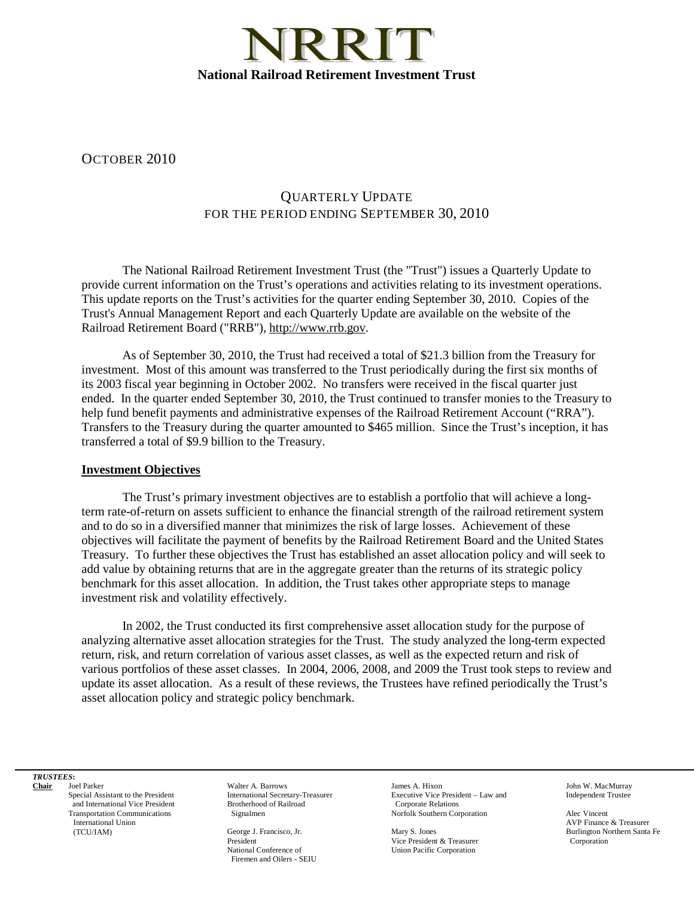

OCTOBER 2010

## QUARTERLY UPDATE FOR THE PERIOD ENDING SEPTEMBER 30, 2010

The National Railroad Retirement Investment Trust (the "Trust") issues a Quarterly Update to provide current information on the Trust's operations and activities relating to its investment operations. This update reports on the Trust's activities for the quarter ending September 30, 2010. Copies of the Trust's Annual Management Report and each Quarterly Update are available on the website of the Railroad Retirement Board ("RRB"), http://www.rrb.gov.

As of September 30, 2010, the Trust had received a total of \$21.3 billion from the Treasury for investment. Most of this amount was transferred to the Trust periodically during the first six months of its 2003 fiscal year beginning in October 2002. No transfers were received in the fiscal quarter just ended. In the quarter ended September 30, 2010, the Trust continued to transfer monies to the Treasury to help fund benefit payments and administrative expenses of the Railroad Retirement Account ("RRA"). Transfers to the Treasury during the quarter amounted to \$465 million. Since the Trust's inception, it has transferred a total of \$9.9 billion to the Treasury.

## **Investment Objectives**

The Trust's primary investment objectives are to establish a portfolio that will achieve a longterm rate-of-return on assets sufficient to enhance the financial strength of the railroad retirement system and to do so in a diversified manner that minimizes the risk of large losses. Achievement of these objectives will facilitate the payment of benefits by the Railroad Retirement Board and the United States Treasury. To further these objectives the Trust has established an asset allocation policy and will seek to add value by obtaining returns that are in the aggregate greater than the returns of its strategic policy benchmark for this asset allocation. In addition, the Trust takes other appropriate steps to manage investment risk and volatility effectively.

In 2002, the Trust conducted its first comprehensive asset allocation study for the purpose of analyzing alternative asset allocation strategies for the Trust. The study analyzed the long-term expected return, risk, and return correlation of various asset classes, as well as the expected return and risk of various portfolios of these asset classes. In 2004, 2006, 2008, and 2009 the Trust took steps to review and update its asset allocation. As a result of these reviews, the Trustees have refined periodically the Trust's asset allocation policy and strategic policy benchmark.

*TRUSTEES***:**

**Chair** Joel Parker Special Assistant to the President and International Vice President Transportation Communications International Union (TCU/IAM)

Walter A. Barrows International Secretary-Treasurer Brotherhood of Railroad Signalmen

George J. Francisco, Jr. President National Conference of Firemen and Oilers - SEIU

James A. Hixon Executive Vice President – Law and Corporate Relations Norfolk Southern Corporation

Mary S. Jones Vice President & Treasurer Union Pacific Corporation

John W. MacMurray Independent Trustee

Alec Vincent AVP Finance & Treasurer Burlington Northern Santa Fe **Corporation**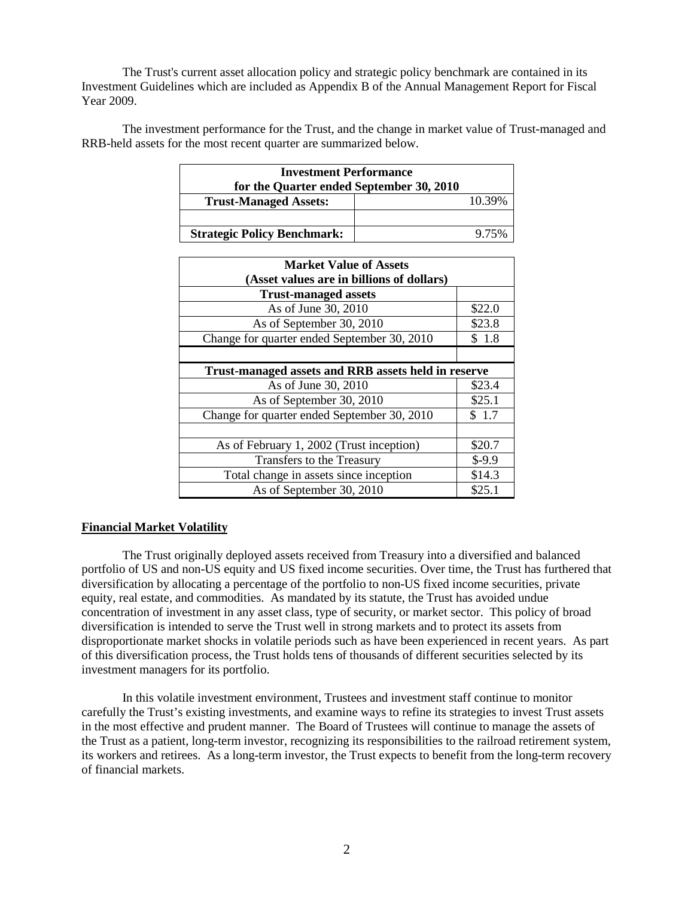The Trust's current asset allocation policy and strategic policy benchmark are contained in its Investment Guidelines which are included as Appendix B of the Annual Management Report for Fiscal Year 2009.

The investment performance for the Trust, and the change in market value of Trust-managed and RRB-held assets for the most recent quarter are summarized below.

| <b>Investment Performance</b>            |  |        |
|------------------------------------------|--|--------|
| for the Quarter ended September 30, 2010 |  |        |
| <b>Trust-Managed Assets:</b>             |  | 10.39% |
|                                          |  |        |
| <b>Strategic Policy Benchmark:</b>       |  | 9.75%  |

| <b>Market Value of Assets</b><br>(Asset values are in billions of dollars) |         |  |
|----------------------------------------------------------------------------|---------|--|
| <b>Trust-managed assets</b>                                                |         |  |
| As of June 30, 2010                                                        | \$22.0  |  |
| As of September 30, 2010                                                   | \$23.8  |  |
| Change for quarter ended September 30, 2010                                | \$1.8   |  |
|                                                                            |         |  |
| Trust-managed assets and RRB assets held in reserve                        |         |  |
| As of June 30, 2010                                                        | \$23.4  |  |
| As of September 30, 2010                                                   | \$25.1  |  |
| Change for quarter ended September 30, 2010                                | \$1.7   |  |
|                                                                            |         |  |
| As of February 1, 2002 (Trust inception)                                   | \$20.7  |  |
| Transfers to the Treasury                                                  | $$-9.9$ |  |
| Total change in assets since inception                                     | \$14.3  |  |
| As of September 30, 2010                                                   | \$25.1  |  |

## **Financial Market Volatility**

The Trust originally deployed assets received from Treasury into a diversified and balanced portfolio of US and non-US equity and US fixed income securities. Over time, the Trust has furthered that diversification by allocating a percentage of the portfolio to non-US fixed income securities, private equity, real estate, and commodities. As mandated by its statute, the Trust has avoided undue concentration of investment in any asset class, type of security, or market sector. This policy of broad diversification is intended to serve the Trust well in strong markets and to protect its assets from disproportionate market shocks in volatile periods such as have been experienced in recent years. As part of this diversification process, the Trust holds tens of thousands of different securities selected by its investment managers for its portfolio.

In this volatile investment environment, Trustees and investment staff continue to monitor carefully the Trust's existing investments, and examine ways to refine its strategies to invest Trust assets in the most effective and prudent manner. The Board of Trustees will continue to manage the assets of the Trust as a patient, long-term investor, recognizing its responsibilities to the railroad retirement system, its workers and retirees. As a long-term investor, the Trust expects to benefit from the long-term recovery of financial markets.